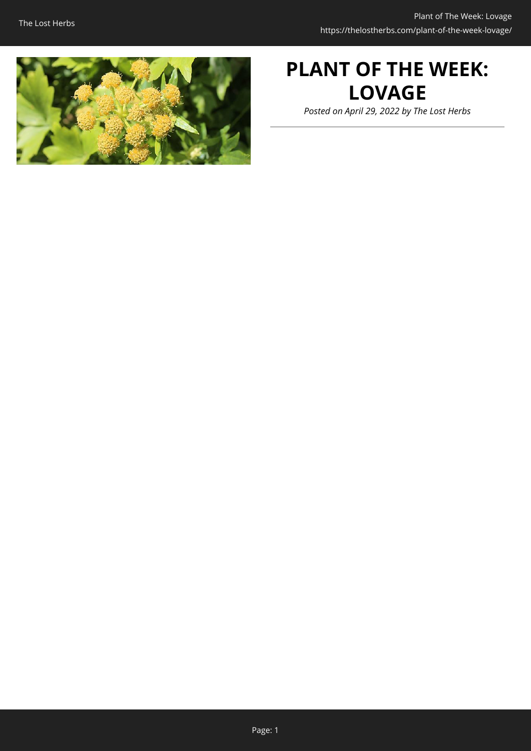

# **PLANT OF THE WEEK: LOVAGE**

*Posted on April 29, 2022 by The Lost Herbs*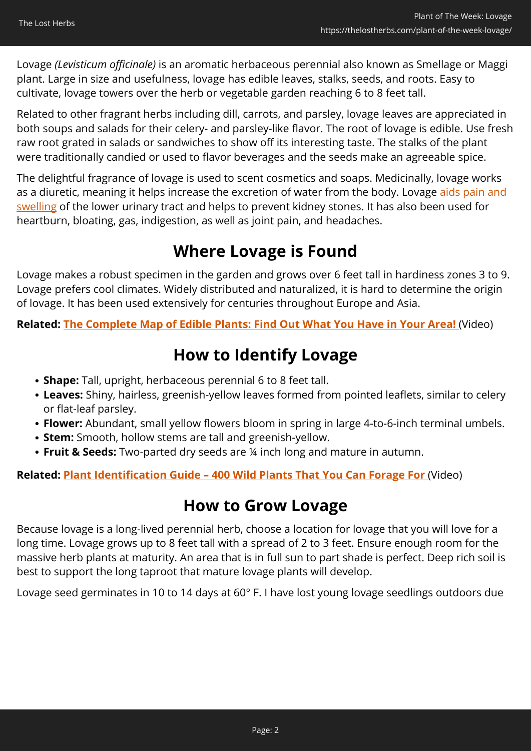Lovage *(Levisticum officinale)* is an aromatic herbaceous perennial also known as Smellage or Maggi plant. Large in size and usefulness, lovage has edible leaves, stalks, seeds, and roots. Easy to cultivate, lovage towers over the herb or vegetable garden reaching 6 to 8 feet tall.

Related to other fragrant herbs including dill, carrots, and parsley, lovage leaves are appreciated in both soups and salads for their celery- and parsley-like flavor. The root of lovage is edible. Use fresh raw root grated in salads or sandwiches to show off its interesting taste. The stalks of the plant were traditionally candied or used to flavor beverages and the seeds make an agreeable spice.

The delightful fragrance of lovage is used to scent cosmetics and soaps. Medicinally, lovage works as a diuretic, meaning it helps increase the excretion of water from the body. Lovage [aids pain and](https://www.rxlist.com/lovage/supplements.htm) [swelling](https://www.rxlist.com/lovage/supplements.htm) of the lower urinary tract and helps to prevent kidney stones. It has also been used for heartburn, bloating, gas, indigestion, as well as joint pain, and headaches.

### **Where Lovage is Found**

Lovage makes a robust specimen in the garden and grows over 6 feet tall in hardiness zones 3 to 9. Lovage prefers cool climates. Widely distributed and naturalized, it is hard to determine the origin of lovage. It has been used extensively for centuries throughout Europe and Asia.

**Related: [The Complete Map of Edible Plants: Find Out What You Have in Your Area!](https://hop.clickbank.net/?affiliate=easycellar&vendor=wfguide&tid=C02LovageFGW1)** (Video)

## **How to Identify Lovage**

- **Shape:** Tall, upright, herbaceous perennial 6 to 8 feet tall.
- **Leaves:** Shiny, hairless, greenish-yellow leaves formed from pointed leaflets, similar to celery or flat-leaf parsley.
- **Flower:** Abundant, small yellow flowers bloom in spring in large 4-to-6-inch terminal umbels.
- **Stem:** Smooth, hollow stems are tall and greenish-yellow.
- **Fruit & Seeds:** Two-parted dry seeds are ¼ inch long and mature in autumn.

**Related: [Plant Identification Guide – 400 Wild Plants That You Can Forage For](https://hop.clickbank.net/?affiliate=easycellar&vendor=wfguide&tid=C02LovageFGW2)** (Video)

### **How to Grow Lovage**

Because lovage is a long-lived perennial herb, choose a location for lovage that you will love for a long time. Lovage grows up to 8 feet tall with a spread of 2 to 3 feet. Ensure enough room for the massive herb plants at maturity. An area that is in full sun to part shade is perfect. Deep rich soil is best to support the long taproot that mature lovage plants will develop.

Lovage seed germinates in 10 to 14 days at 60° F. I have lost young lovage seedlings outdoors due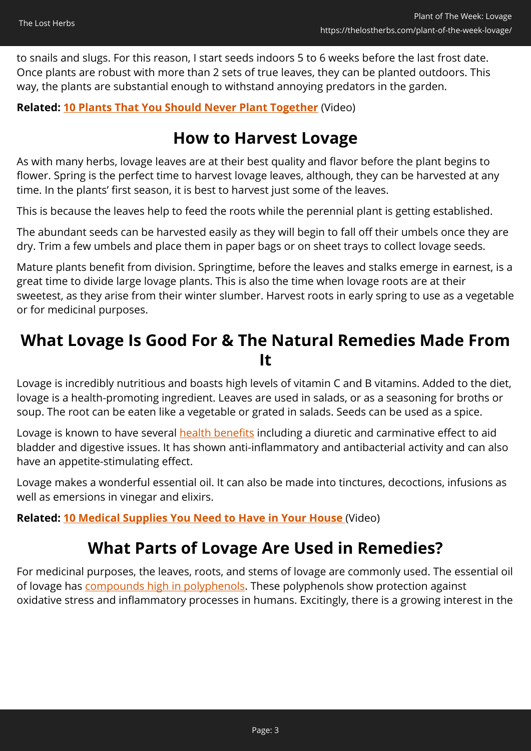to snails and slugs. For this reason, I start seeds indoors 5 to 6 weeks before the last frost date. Once plants are robust with more than 2 sets of true leaves, they can be planted outdoors. This way, the plants are substantial enough to withstand annoying predators in the garden.

#### **Related: [10 Plants That You Should Never Plant Together](https://hop.clickbank.net/?affiliate=easycellar&vendor=sbackyard&tid=C02LovageSSB)** (Video)

### **How to Harvest Lovage**

As with many herbs, lovage leaves are at their best quality and flavor before the plant begins to flower. Spring is the perfect time to harvest lovage leaves, although, they can be harvested at any time. In the plants' first season, it is best to harvest just some of the leaves.

This is because the leaves help to feed the roots while the perennial plant is getting established.

The abundant seeds can be harvested easily as they will begin to fall off their umbels once they are dry. Trim a few umbels and place them in paper bags or on sheet trays to collect lovage seeds.

Mature plants benefit from division. Springtime, before the leaves and stalks emerge in earnest, is a great time to divide large lovage plants. This is also the time when lovage roots are at their sweetest, as they arise from their winter slumber. Harvest roots in early spring to use as a vegetable or for medicinal purposes.

### **What Lovage Is Good For & The Natural Remedies Made From It**

Lovage is incredibly nutritious and boasts high levels of vitamin C and B vitamins. Added to the diet, lovage is a health-promoting ingredient. Leaves are used in salads, or as a seasoning for broths or soup. The root can be eaten like a vegetable or grated in salads. Seeds can be used as a spice.

Lovage is known to have several **health benefits** including a diuretic and carminative effect to aid bladder and digestive issues. It has shown anti-inflammatory and antibacterial activity and can also have an appetite-stimulating effect.

Lovage makes a wonderful essential oil. It can also be made into tinctures, decoctions, infusions as well as emersions in vinegar and elixirs.

**Related: [10 Medical Supplies You Need to Have in Your House](https://hop.clickbank.net/?affiliate=easycellar&vendor=homedoc&tid=C02LovageHMD)** (Video)

### **What Parts of Lovage Are Used in Remedies?**

For medicinal purposes, the leaves, roots, and stems of lovage are commonly used. The essential oil of lovage has [compounds high in polyphenols.](https://www.ncbi.nlm.nih.gov/pmc/articles/PMC6480578/) These polyphenols show protection against oxidative stress and inflammatory processes in humans. Excitingly, there is a growing interest in the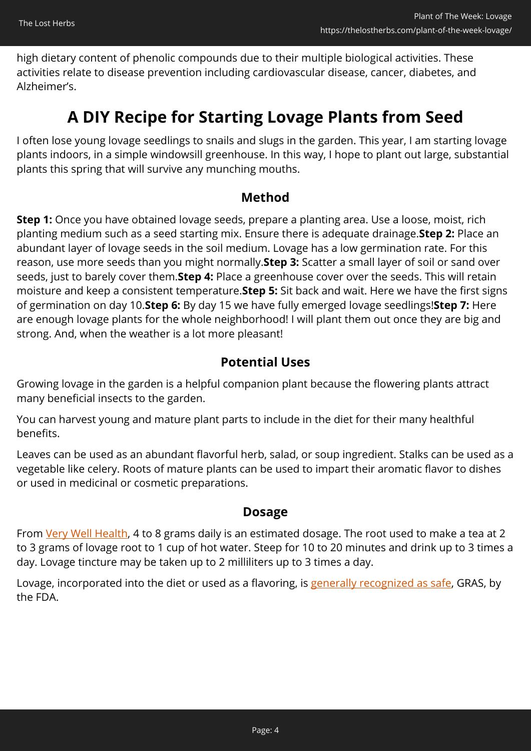high dietary content of phenolic compounds due to their multiple biological activities. These activities relate to disease prevention including cardiovascular disease, cancer, diabetes, and Alzheimer's.

### **A DIY Recipe for Starting Lovage Plants from Seed**

I often lose young lovage seedlings to snails and slugs in the garden. This year, I am starting lovage plants indoors, in a simple windowsill greenhouse. In this way, I hope to plant out large, substantial plants this spring that will survive any munching mouths.

#### **Method**

**Step 1:** Once you have obtained lovage seeds, prepare a planting area. Use a loose, moist, rich planting medium such as a seed starting mix. Ensure there is adequate drainage.**Step 2:** Place an abundant layer of lovage seeds in the soil medium. Lovage has a low germination rate. For this reason, use more seeds than you might normally.**Step 3:** Scatter a small layer of soil or sand over seeds, just to barely cover them.**Step 4:** Place a greenhouse cover over the seeds. This will retain moisture and keep a consistent temperature.**Step 5:** Sit back and wait. Here we have the first signs of germination on day 10.**Step 6:** By day 15 we have fully emerged lovage seedlings!**Step 7:** Here are enough lovage plants for the whole neighborhood! I will plant them out once they are big and strong. And, when the weather is a lot more pleasant!

#### **Potential Uses**

Growing lovage in the garden is a helpful companion plant because the flowering plants attract many beneficial insects to the garden.

You can harvest young and mature plant parts to include in the diet for their many healthful benefits.

Leaves can be used as an abundant flavorful herb, salad, or soup ingredient. Stalks can be used as a vegetable like celery. Roots of mature plants can be used to impart their aromatic flavor to dishes or used in medicinal or cosmetic preparations.

#### **Dosage**

From [Very Well Health](https://www.verywellhealth.com/lovage-benefits-side-effects-dosage-and-interactions-4686373), 4 to 8 grams daily is an estimated dosage. The root used to make a tea at 2 to 3 grams of lovage root to 1 cup of hot water. Steep for 10 to 20 minutes and drink up to 3 times a day. Lovage tincture may be taken up to 2 milliliters up to 3 times a day.

Lovage, incorporated into the diet or used as a flavoring, is [generally recognized as safe](https://www.accessdata.fda.gov/scripts/cdrh/cfdocs/cfcfr/cfrsearch.cfm?fr=172.510), GRAS, by the FDA.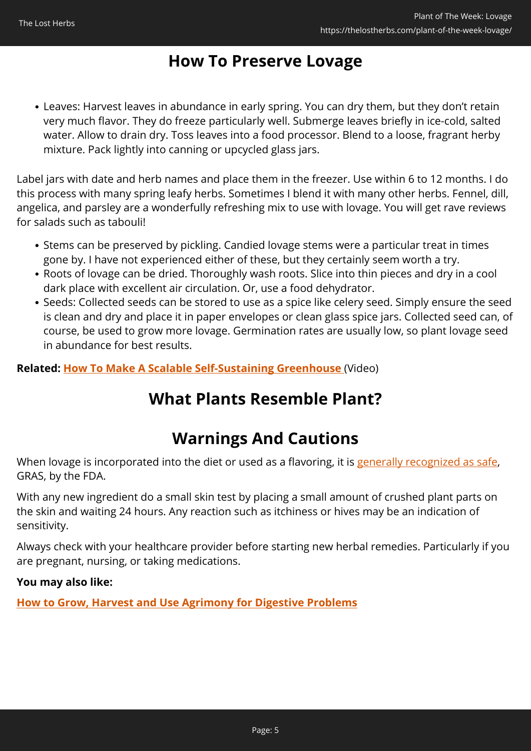### **How To Preserve Lovage**

Leaves: Harvest leaves in abundance in early spring. You can dry them, but they don't retain very much flavor. They do freeze particularly well. Submerge leaves briefly in ice-cold, salted water. Allow to drain dry. Toss leaves into a food processor. Blend to a loose, fragrant herby mixture. Pack lightly into canning or upcycled glass jars.

Label jars with date and herb names and place them in the freezer. Use within 6 to 12 months. I do this process with many spring leafy herbs. Sometimes I blend it with many other herbs. Fennel, dill, angelica, and parsley are a wonderfully refreshing mix to use with lovage. You will get rave reviews for salads such as tabouli!

- Stems can be preserved by pickling. Candied lovage stems were a particular treat in times gone by. I have not experienced either of these, but they certainly seem worth a try.
- Roots of lovage can be dried. Thoroughly wash roots. Slice into thin pieces and dry in a cool dark place with excellent air circulation. Or, use a food dehydrator.
- Seeds: Collected seeds can be stored to use as a spice like celery seed. Simply ensure the seed is clean and dry and place it in paper envelopes or clean glass spice jars. Collected seed can, of course, be used to grow more lovage. Germination rates are usually low, so plant lovage seed in abundance for best results.

**Related: [How To Make A Scalable Self-Sustaining Greenhouse](https://hop.clickbank.net/?affiliate=easycellar&vendor=nogridpr&tid=C02LovageNGP)** (Video)

# **What Plants Resemble Plant?**

# **Warnings And Cautions**

When lovage is incorporated into the diet or used as a flavoring, it is [generally recognized as safe,](https://www.accessdata.fda.gov/scripts/cdrh/cfdocs/cfcfr/cfrsearch.cfm?fr=172.510) GRAS, by the FDA.

With any new ingredient do a small skin test by placing a small amount of crushed plant parts on the skin and waiting 24 hours. Any reaction such as itchiness or hives may be an indication of sensitivity.

Always check with your healthcare provider before starting new herbal remedies. Particularly if you are pregnant, nursing, or taking medications.

#### **You may also like:**

**[How to Grow, Harvest and Use Agrimony for Digestive Problems](https://thelostherbs.com/how-to-grow-harvest-and-use-agrimony-for-digestive-problems/)**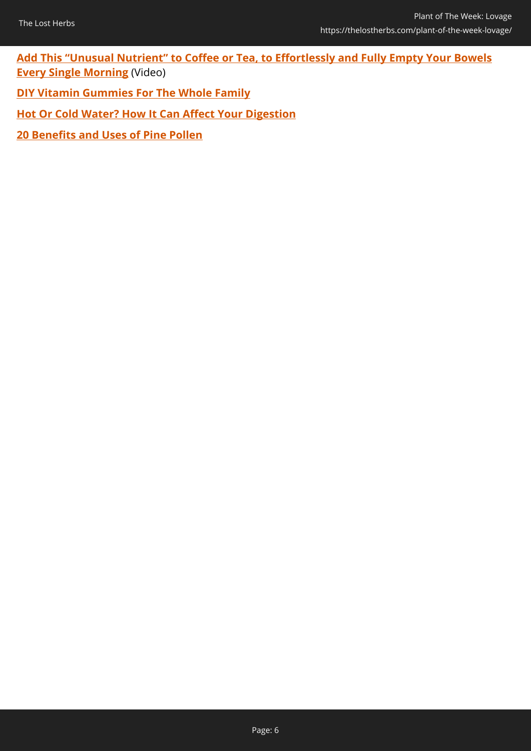**[Add This "Unusual Nutrient" to Coffee or Tea, to Effortlessly and Fully Empty Your Bowels](https://hop.clickbank.net/?affiliate=easycellar&vendor=peakbiome&tid=C02LovagePBB) [Every Single Morning](https://hop.clickbank.net/?affiliate=easycellar&vendor=peakbiome&tid=C02LovagePBB)** (Video)

**[DIY Vitamin Gummies For The Whole Family](https://thelostherbs.com/diy-vitamin-gummies-for-the-whole-family/)**

**[Hot Or Cold Water? How It Can Affect Your Digestion](https://thelostherbs.com/hot-or-cold-water-how-it-can-affect-your-digestion/)**

**[20 Benefits and Uses of Pine Pollen](https://thelostherbs.com/20-benefits-and-uses-of-pine-pollen/)**